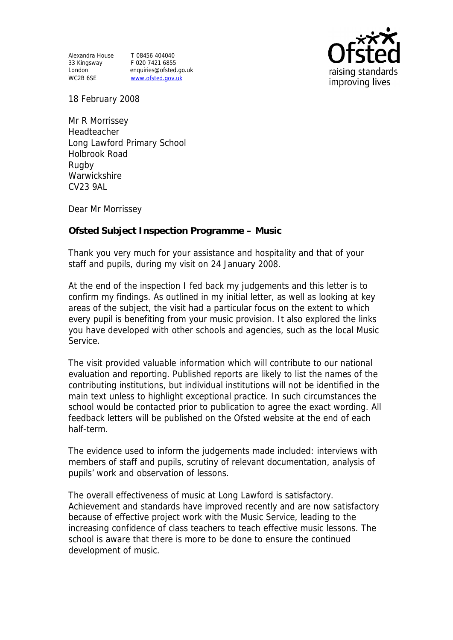Alexandra House T 08456 404040 33 Kingsway F 020 7421 6855

London enquiries@ofsted.go.uk WC2B 6SE www.ofsted.gov.uk



18 February 2008

Mr R Morrissey Headteacher Long Lawford Primary School Holbrook Road Rugby **Warwickshire** CV23 9AL

Dear Mr Morrissey

**Ofsted Subject Inspection Programme – Music** 

Thank you very much for your assistance and hospitality and that of your staff and pupils, during my visit on 24 January 2008.

At the end of the inspection I fed back my judgements and this letter is to confirm my findings. As outlined in my initial letter, as well as looking at key areas of the subject, the visit had a particular focus on the extent to which every pupil is benefiting from your music provision. It also explored the links you have developed with other schools and agencies, such as the local Music Service.

The visit provided valuable information which will contribute to our national evaluation and reporting. Published reports are likely to list the names of the contributing institutions, but individual institutions will not be identified in the main text unless to highlight exceptional practice. In such circumstances the school would be contacted prior to publication to agree the exact wording. All feedback letters will be published on the Ofsted website at the end of each half-term.

The evidence used to inform the judgements made included: interviews with members of staff and pupils, scrutiny of relevant documentation, analysis of pupils' work and observation of lessons.

The overall effectiveness of music at Long Lawford is satisfactory. Achievement and standards have improved recently and are now satisfactory because of effective project work with the Music Service, leading to the increasing confidence of class teachers to teach effective music lessons. The school is aware that there is more to be done to ensure the continued development of music.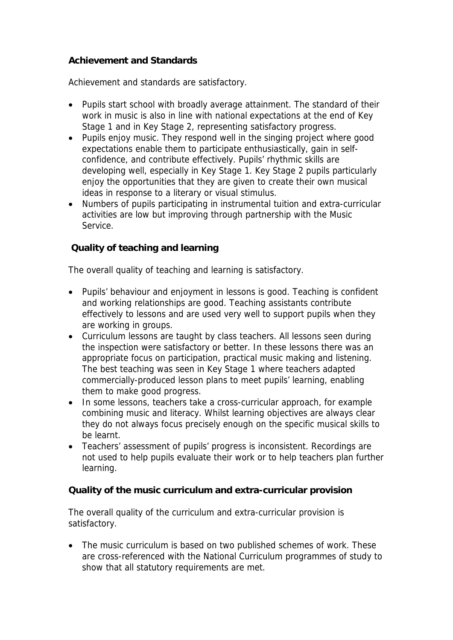## **Achievement and Standards**

Achievement and standards are satisfactory.

- Pupils start school with broadly average attainment. The standard of their work in music is also in line with national expectations at the end of Key Stage 1 and in Key Stage 2, representing satisfactory progress.
- Pupils enjoy music. They respond well in the singing project where good expectations enable them to participate enthusiastically, gain in selfconfidence, and contribute effectively. Pupils' rhythmic skills are developing well, especially in Key Stage 1. Key Stage 2 pupils particularly enjoy the opportunities that they are given to create their own musical ideas in response to a literary or visual stimulus.
- Numbers of pupils participating in instrumental tuition and extra-curricular activities are low but improving through partnership with the Music Service.

## **Quality of teaching and learning**

The overall quality of teaching and learning is satisfactory.

- Pupils' behaviour and enjoyment in lessons is good. Teaching is confident and working relationships are good. Teaching assistants contribute effectively to lessons and are used very well to support pupils when they are working in groups.
- Curriculum lessons are taught by class teachers. All lessons seen during the inspection were satisfactory or better. In these lessons there was an appropriate focus on participation, practical music making and listening. The best teaching was seen in Key Stage 1 where teachers adapted commercially-produced lesson plans to meet pupils' learning, enabling them to make good progress.
- In some lessons, teachers take a cross-curricular approach, for example combining music and literacy. Whilst learning objectives are always clear they do not always focus precisely enough on the specific musical skills to be learnt.
- Teachers' assessment of pupils' progress is inconsistent. Recordings are not used to help pupils evaluate their work or to help teachers plan further learning.

**Quality of the music curriculum and extra-curricular provision**

The overall quality of the curriculum and extra-curricular provision is satisfactory.

• The music curriculum is based on two published schemes of work. These are cross-referenced with the National Curriculum programmes of study to show that all statutory requirements are met.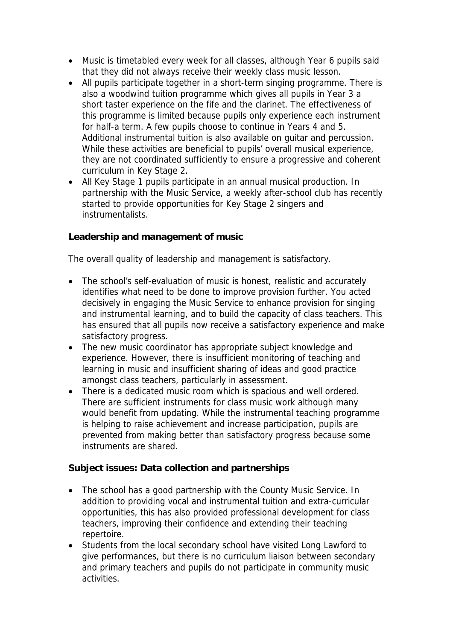- Music is timetabled every week for all classes, although Year 6 pupils said that they did not always receive their weekly class music lesson.
- All pupils participate together in a short-term singing programme. There is also a woodwind tuition programme which gives all pupils in Year 3 a short taster experience on the fife and the clarinet. The effectiveness of this programme is limited because pupils only experience each instrument for half-a term. A few pupils choose to continue in Years 4 and 5. Additional instrumental tuition is also available on guitar and percussion. While these activities are beneficial to pupils' overall musical experience, they are not coordinated sufficiently to ensure a progressive and coherent curriculum in Key Stage 2.
- All Key Stage 1 pupils participate in an annual musical production. In partnership with the Music Service, a weekly after-school club has recently started to provide opportunities for Key Stage 2 singers and instrumentalists.

**Leadership and management of music**

The overall quality of leadership and management is satisfactory.

- The school's self-evaluation of music is honest, realistic and accurately identifies what need to be done to improve provision further. You acted decisively in engaging the Music Service to enhance provision for singing and instrumental learning, and to build the capacity of class teachers. This has ensured that all pupils now receive a satisfactory experience and make satisfactory progress.
- The new music coordinator has appropriate subject knowledge and experience. However, there is insufficient monitoring of teaching and learning in music and insufficient sharing of ideas and good practice amongst class teachers, particularly in assessment.
- There is a dedicated music room which is spacious and well ordered. There are sufficient instruments for class music work although many would benefit from updating. While the instrumental teaching programme is helping to raise achievement and increase participation, pupils are prevented from making better than satisfactory progress because some instruments are shared.

**Subject issues: Data collection and partnerships**

- The school has a good partnership with the County Music Service. In addition to providing vocal and instrumental tuition and extra-curricular opportunities, this has also provided professional development for class teachers, improving their confidence and extending their teaching repertoire.
- Students from the local secondary school have visited Long Lawford to give performances, but there is no curriculum liaison between secondary and primary teachers and pupils do not participate in community music activities.